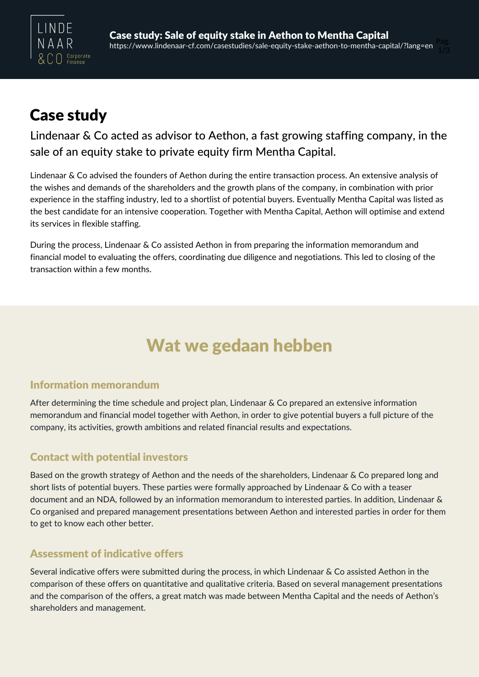

# **Case study**

Lindenaar & Co acted as advisor to Aethon, a fast growing staffing company, in the sale of an equity stake to private equity firm Mentha Capital.

Lindenaar & Co advised the founders of Aethon during the entire transaction process. An extensive analysis of the wishes and demands of the shareholders and the growth plans of the company, in combination with prior experience in the staffing industry, led to a shortlist of potential buyers. Eventually Mentha Capital was listed as the best candidate for an intensive cooperation. Together with Mentha Capital, Aethon will optimise and extend its services in flexible staffing.

During the process, Lindenaar & Co assisted Aethon in from preparing the information memorandum and financial model to evaluating the offers, coordinating due diligence and negotiations. This led to closing of the transaction within a few months.

# **Wat we gedaan hebben**

#### **Information memorandum**

After determining the time schedule and project plan, Lindenaar & Co prepared an extensive information memorandum and financial model together with Aethon, in order to give potential buyers a full picture of the company, its activities, growth ambitions and related financial results and expectations.

## **Contact with potential investors**

Based on the growth strategy of Aethon and the needs of the shareholders, Lindenaar & Co prepared long and short lists of potential buyers. These parties were formally approached by Lindenaar & Co with a teaser document and an NDA, followed by an information memorandum to interested parties. In addition, Lindenaar & Co organised and prepared management presentations between Aethon and interested parties in order for them to get to know each other better.

## **Assessment of indicative offers**

Several indicative offers were submitted during the process, in which Lindenaar & Co assisted Aethon in the comparison of these offers on quantitative and qualitative criteria. Based on several management presentations and the comparison of the offers, a great match was made between Mentha Capital and the needs of Aethon's shareholders and management.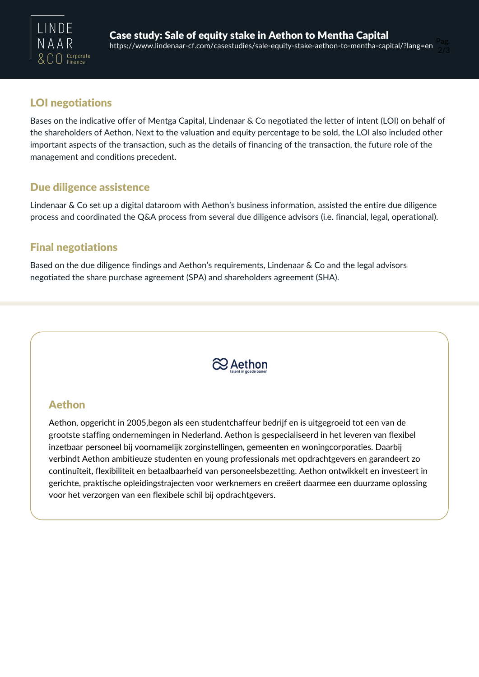

#### **LOI negotiations**

Bases on the indicative offer of Mentga Capital, Lindenaar & Co negotiated the letter of intent (LOI) on behalf of the shareholders of Aethon. Next to the valuation and equity percentage to be sold, the LOI also included other important aspects of the transaction, such as the details of financing of the transaction, the future role of the management and conditions precedent.

#### **Due diligence assistence**

Lindenaar & Co set up a digital dataroom with Aethon's business information, assisted the entire due diligence process and coordinated the Q&A process from several due diligence advisors (i.e. financial, legal, operational).

#### **Final negotiations**

Based on the due diligence findings and Aethon's requirements, Lindenaar & Co and the legal advisors negotiated the share purchase agreement (SPA) and shareholders agreement (SHA).



#### **Aethon**

Aethon, opgericht in 2005,begon als een studentchaffeur bedrijf en is uitgegroeid tot een van de grootste staffing ondernemingen in Nederland. Aethon is gespecialiseerd in het leveren van flexibel inzetbaar personeel bij voornamelijk zorginstellingen, gemeenten en woningcorporaties. Daarbij verbindt Aethon ambitieuze studenten en young professionals met opdrachtgevers en garandeert zo continuïteit, flexibiliteit en betaalbaarheid van personeelsbezetting. Aethon ontwikkelt en investeert in gerichte, praktische opleidingstrajecten voor werknemers en creëert daarmee een duurzame oplossing voor het verzorgen van een flexibele schil bij opdrachtgevers.